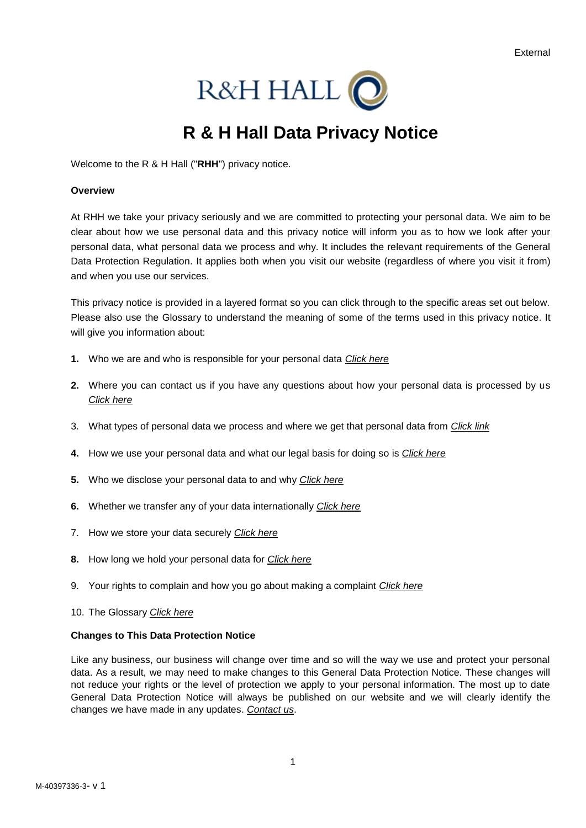

# **R & H Hall Data Privacy Notice**

Welcome to the R & H Hall ("**RHH**") privacy notice.

## **Overview**

At RHH we take your privacy seriously and we are committed to protecting your personal data. We aim to be clear about how we use personal data and this privacy notice will inform you as to how we look after your personal data, what personal data we process and why. It includes the relevant requirements of the General Data Protection Regulation. It applies both when you visit our website (regardless of where you visit it from) and when you use our services.

This privacy notice is provided in a layered format so you can click through to the specific areas set out below. Please also use the Glossary to understand the meaning of some of the terms used in this privacy notice. It will give you information about:

- **1.** Who we are and who is responsible for your personal data *[Click here](#page-1-0)*
- **2.** Where you can contact us if you have any questions about how your personal data is processed by us *[Click here](#page-1-1)*
- 3. What types of personal data we process and where we get that personal data from *[Click link](#page-1-2)*
- **4.** How we use your personal data and what our legal basis for doing so is *[Click here](#page-2-0)*
- **5.** Who we disclose your personal data to and why *[Click here](#page-5-0)*
- **6.** Whether we transfer any of your data internationally *[Click here](#page-5-1)*
- 7. How we store your data securely *[Click here](#page-5-2)*
- **8.** How long we hold your personal data for *[Click here](#page-6-0)*
- 9. Your rights to complain and how you go about making a complaint *[Click](#page-6-1) here*
- 10. The Glossary *[Click here](#page-8-0)*

## **Changes to This Data Protection Notice**

Like any business, our business will change over time and so will the way we use and protect your personal data. As a result, we may need to make changes to this General Data Protection Notice. These changes will not reduce your rights or the level of protection we apply to your personal information. The most up to date General Data Protection Notice will always be published on our website and we will clearly identify the changes we have made in any updates. *[Contact us](https://www.rhhall.ie/contact-us/)*.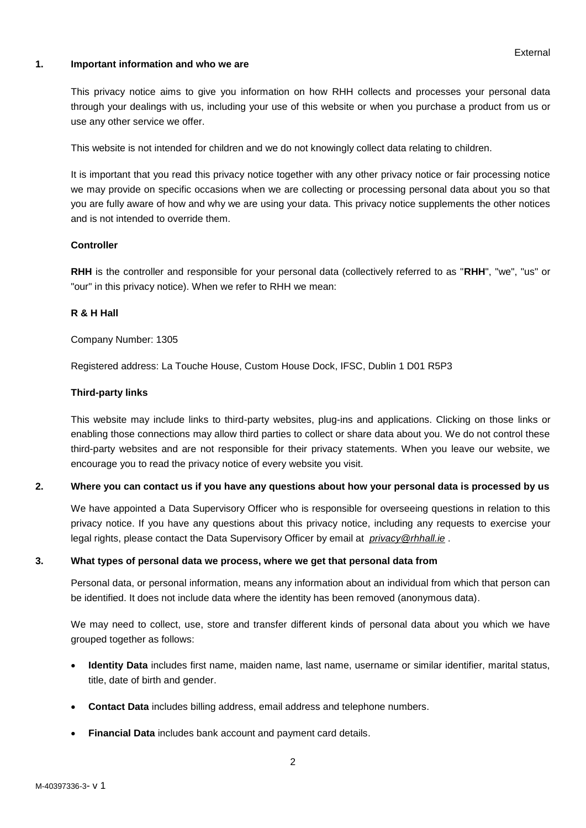# <span id="page-1-0"></span>**1. Important information and who we are**

This privacy notice aims to give you information on how RHH collects and processes your personal data through your dealings with us, including your use of this website or when you purchase a product from us or use any other service we offer.

This website is not intended for children and we do not knowingly collect data relating to children.

It is important that you read this privacy notice together with any other privacy notice or fair processing notice we may provide on specific occasions when we are collecting or processing personal data about you so that you are fully aware of how and why we are using your data. This privacy notice supplements the other notices and is not intended to override them.

# **Controller**

**RHH** is the controller and responsible for your personal data (collectively referred to as "**RHH**", "we", "us" or "our" in this privacy notice). When we refer to RHH we mean:

# **R & H Hall**

# Company Number: 1305

Registered address: La Touche House, Custom House Dock, IFSC, Dublin 1 D01 R5P3

# **Third-party links**

This website may include links to third-party websites, plug-ins and applications. Clicking on those links or enabling those connections may allow third parties to collect or share data about you. We do not control these third-party websites and are not responsible for their privacy statements. When you leave our website, we encourage you to read the privacy notice of every website you visit.

## <span id="page-1-1"></span>**2. Where you can contact us if you have any questions about how your personal data is processed by us**

We have appointed a Data Supervisory Officer who is responsible for overseeing questions in relation to this privacy notice. If you have any questions about this privacy notice, including any requests to exercise your legal rights, please contact the Data Supervisory Officer by email at *[privacy@rhhall.ie](mailto:privacy@rhhall.ie)* .

## <span id="page-1-2"></span>**3. What types of personal data we process, where we get that personal data from**

Personal data, or personal information, means any information about an individual from which that person can be identified. It does not include data where the identity has been removed (anonymous data).

We may need to collect, use, store and transfer different kinds of personal data about you which we have grouped together as follows:

- **Identity Data** includes first name, maiden name, last name, username or similar identifier, marital status, title, date of birth and gender.
- **Contact Data** includes billing address, email address and telephone numbers.
- **Financial Data** includes bank account and payment card details.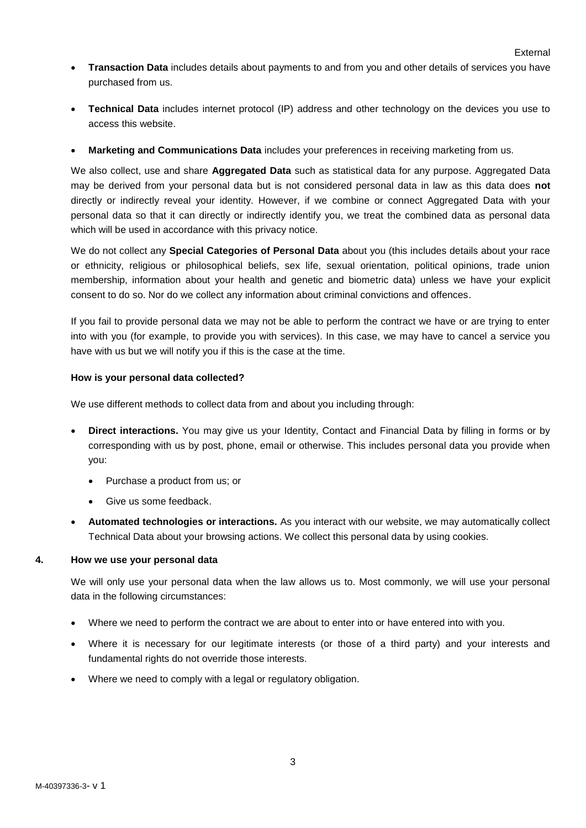- **Transaction Data** includes details about payments to and from you and other details of services you have purchased from us.
- **Technical Data** includes internet protocol (IP) address and other technology on the devices you use to access this website.
- **Marketing and Communications Data** includes your preferences in receiving marketing from us.

We also collect, use and share **Aggregated Data** such as statistical data for any purpose. Aggregated Data may be derived from your personal data but is not considered personal data in law as this data does **not** directly or indirectly reveal your identity. However, if we combine or connect Aggregated Data with your personal data so that it can directly or indirectly identify you, we treat the combined data as personal data which will be used in accordance with this privacy notice.

We do not collect any **Special Categories of Personal Data** about you (this includes details about your race or ethnicity, religious or philosophical beliefs, sex life, sexual orientation, political opinions, trade union membership, information about your health and genetic and biometric data) unless we have your explicit consent to do so. Nor do we collect any information about criminal convictions and offences.

If you fail to provide personal data we may not be able to perform the contract we have or are trying to enter into with you (for example, to provide you with services). In this case, we may have to cancel a service you have with us but we will notify you if this is the case at the time.

# **How is your personal data collected?**

We use different methods to collect data from and about you including through:

- **Direct interactions.** You may give us your Identity, Contact and Financial Data by filling in forms or by corresponding with us by post, phone, email or otherwise. This includes personal data you provide when you:
	- Purchase a product from us; or
	- Give us some feedback.
- **Automated technologies or interactions.** As you interact with our website, we may automatically collect Technical Data about your browsing actions. We collect this personal data by using cookies.

# <span id="page-2-0"></span>**4. How we use your personal data**

We will only use your personal data when the law allows us to. Most commonly, we will use your personal data in the following circumstances:

- Where we need to perform the contract we are about to enter into or have entered into with you.
- Where it is necessary for our legitimate interests (or those of a third party) and your interests and fundamental rights do not override those interests.
- Where we need to comply with a legal or regulatory obligation.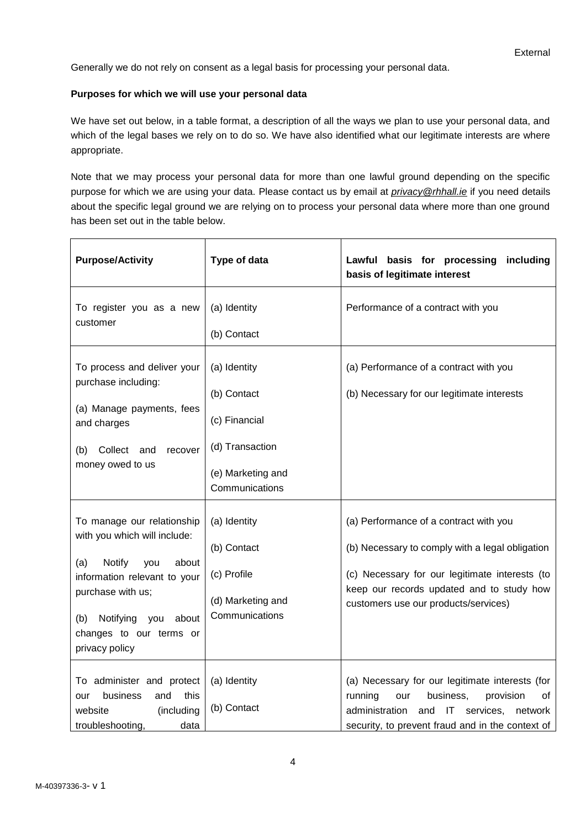Generally we do not rely on consent as a legal basis for processing your personal data.

# **Purposes for which we will use your personal data**

We have set out below, in a table format, a description of all the ways we plan to use your personal data, and which of the legal bases we rely on to do so. We have also identified what our legitimate interests are where appropriate.

Note that we may process your personal data for more than one lawful ground depending on the specific purpose for which we are using your data. Please contact us by email at *[privacy@rhhall.ie](mailto:privacy@rhhall.ie)* if you need details about the specific legal ground we are relying on to process your personal data where more than one ground has been set out in the table below.

| <b>Purpose/Activity</b>                                                                                                                                                                                                           | Type of data                                                                                           | Lawful basis for processing including<br>basis of legitimate interest                                                                                                                                                            |
|-----------------------------------------------------------------------------------------------------------------------------------------------------------------------------------------------------------------------------------|--------------------------------------------------------------------------------------------------------|----------------------------------------------------------------------------------------------------------------------------------------------------------------------------------------------------------------------------------|
| To register you as a new<br>customer                                                                                                                                                                                              | (a) Identity<br>(b) Contact                                                                            | Performance of a contract with you                                                                                                                                                                                               |
| To process and deliver your<br>purchase including:<br>(a) Manage payments, fees<br>and charges<br>Collect<br>(b)<br>and<br>recover<br>money owed to us                                                                            | (a) Identity<br>(b) Contact<br>(c) Financial<br>(d) Transaction<br>(e) Marketing and<br>Communications | (a) Performance of a contract with you<br>(b) Necessary for our legitimate interests                                                                                                                                             |
| To manage our relationship<br>with you which will include:<br>Notify<br>about<br>(a)<br>you<br>information relevant to your<br>purchase with us;<br>Notifying<br>about<br>you<br>(b)<br>changes to our terms or<br>privacy policy | (a) Identity<br>(b) Contact<br>(c) Profile<br>(d) Marketing and<br>Communications                      | (a) Performance of a contract with you<br>(b) Necessary to comply with a legal obligation<br>(c) Necessary for our legitimate interests (to<br>keep our records updated and to study how<br>customers use our products/services) |
| To administer and protect<br>business<br>this<br>and<br>our<br>(including<br>website<br>troubleshooting,<br>data                                                                                                                  | (a) Identity<br>(b) Contact                                                                            | (a) Necessary for our legitimate interests (for<br>running<br>our<br>business,<br>provision<br>οf<br>administration<br>and IT services,<br>network<br>security, to prevent fraud and in the context of                           |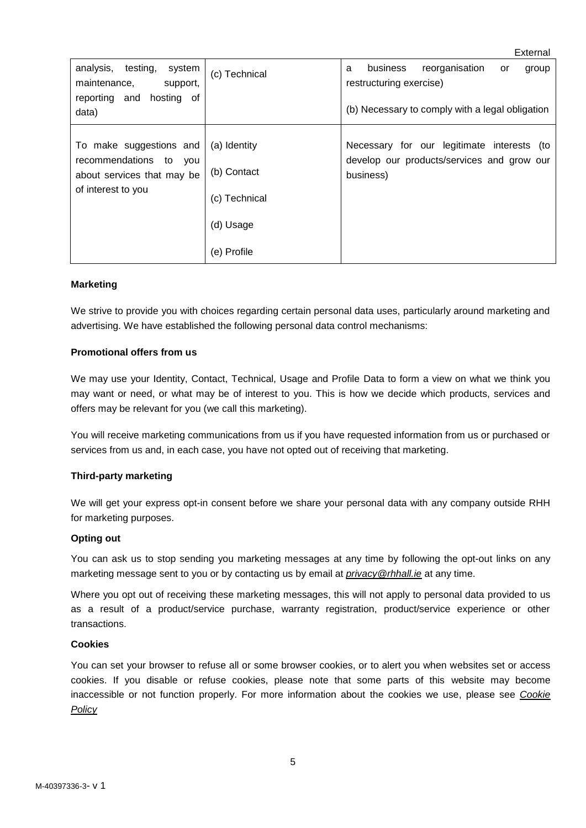|                                                                                                          |                              | Lawura                                                                                   |
|----------------------------------------------------------------------------------------------------------|------------------------------|------------------------------------------------------------------------------------------|
| analysis,<br>testing,<br>system<br>maintenance,<br>support,<br>hosting of<br>reporting and<br>data)      | (c) Technical                | reorganisation<br>business<br>a<br>group<br>or<br>restructuring exercise)                |
|                                                                                                          |                              | (b) Necessary to comply with a legal obligation                                          |
| To make suggestions and<br>recommendations to<br>you<br>about services that may be<br>of interest to you | (a) Identity                 | Necessary for our legitimate interests (to<br>develop our products/services and grow our |
|                                                                                                          | (b) Contact<br>(c) Technical | business)                                                                                |
|                                                                                                          | (d) Usage                    |                                                                                          |
|                                                                                                          | (e) Profile                  |                                                                                          |

External

# **Marketing**

We strive to provide you with choices regarding certain personal data uses, particularly around marketing and advertising. We have established the following personal data control mechanisms:

# **Promotional offers from us**

We may use your Identity, Contact, Technical, Usage and Profile Data to form a view on what we think you may want or need, or what may be of interest to you. This is how we decide which products, services and offers may be relevant for you (we call this marketing).

You will receive marketing communications from us if you have requested information from us or purchased or services from us and, in each case, you have not opted out of receiving that marketing.

## **Third-party marketing**

We will get your express opt-in consent before we share your personal data with any company outside RHH for marketing purposes.

## **Opting out**

You can ask us to stop sending you marketing messages at any time by following the opt-out links on any marketing message sent to you or by contacting us by email at *[privacy@rhhall.ie](mailto:privacy@rhhall.ie)* at any time.

Where you opt out of receiving these marketing messages, this will not apply to personal data provided to us as a result of a product/service purchase, warranty registration, product/service experience or other transactions.

## **Cookies**

You can set your browser to refuse all or some browser cookies, or to alert you when websites set or access cookies. If you disable or refuse cookies, please note that some parts of this website may become inaccessible or not function properly. For more information about the cookies we use, please see *[Cookie](https://www.rhhall.ie/cookie-policy/)  [Policy](https://www.rhhall.ie/cookie-policy/)*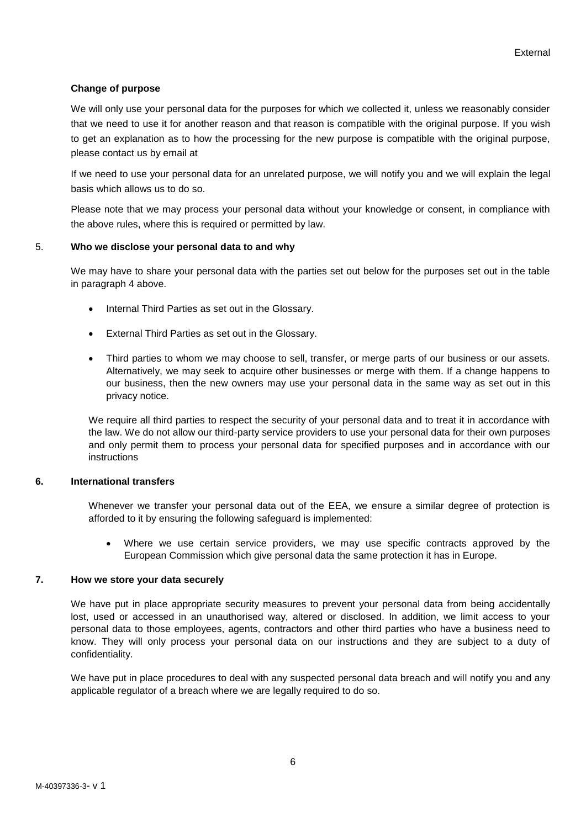# **Change of purpose**

We will only use your personal data for the purposes for which we collected it, unless we reasonably consider that we need to use it for another reason and that reason is compatible with the original purpose. If you wish to get an explanation as to how the processing for the new purpose is compatible with the original purpose, please contact us by email at

If we need to use your personal data for an unrelated purpose, we will notify you and we will explain the legal basis which allows us to do so.

Please note that we may process your personal data without your knowledge or consent, in compliance with the above rules, where this is required or permitted by law.

# <span id="page-5-0"></span>5. **Who we disclose your personal data to and why**

We may have to share your personal data with the parties set out below for the purposes set out in the table in paragraph 4 above.

- Internal Third Parties as set out in the Glossary.
- External Third Parties as set out in the Glossary.
- Third parties to whom we may choose to sell, transfer, or merge parts of our business or our assets. Alternatively, we may seek to acquire other businesses or merge with them. If a change happens to our business, then the new owners may use your personal data in the same way as set out in this privacy notice.

We require all third parties to respect the security of your personal data and to treat it in accordance with the law. We do not allow our third-party service providers to use your personal data for their own purposes and only permit them to process your personal data for specified purposes and in accordance with our instructions

# <span id="page-5-1"></span>**6. International transfers**

Whenever we transfer your personal data out of the EEA, we ensure a similar degree of protection is afforded to it by ensuring the following safeguard is implemented:

 Where we use certain service providers, we may use specific contracts approved by the European Commission which give personal data the same protection it has in Europe.

## <span id="page-5-2"></span>**7. How we store your data securely**

We have put in place appropriate security measures to prevent your personal data from being accidentally lost, used or accessed in an unauthorised way, altered or disclosed. In addition, we limit access to your personal data to those employees, agents, contractors and other third parties who have a business need to know. They will only process your personal data on our instructions and they are subject to a duty of confidentiality.

We have put in place procedures to deal with any suspected personal data breach and will notify you and any applicable regulator of a breach where we are legally required to do so.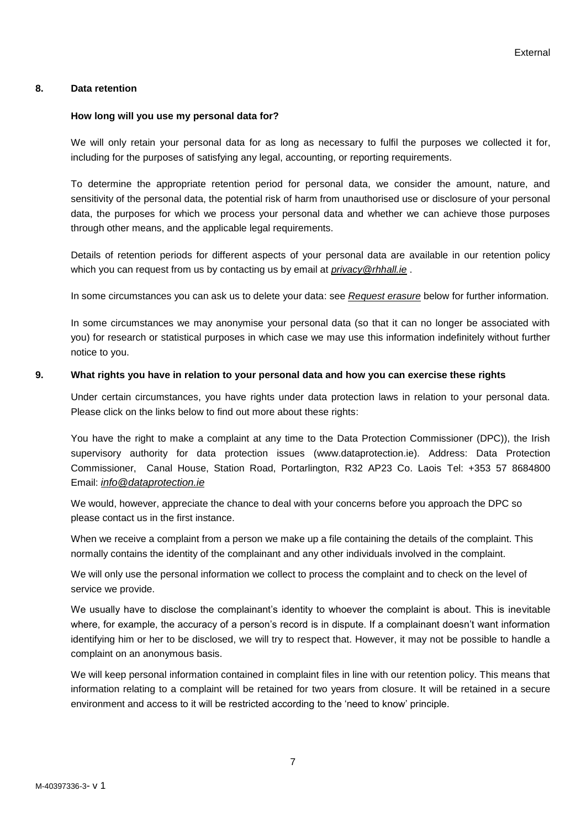# <span id="page-6-0"></span>**8. Data retention**

# **How long will you use my personal data for?**

We will only retain your personal data for as long as necessary to fulfil the purposes we collected it for, including for the purposes of satisfying any legal, accounting, or reporting requirements.

To determine the appropriate retention period for personal data, we consider the amount, nature, and sensitivity of the personal data, the potential risk of harm from unauthorised use or disclosure of your personal data, the purposes for which we process your personal data and whether we can achieve those purposes through other means, and the applicable legal requirements.

Details of retention periods for different aspects of your personal data are available in our retention policy which you can request from us by contacting us by email at *[privacy@rhhall.ie](mailto:privacy@rhhall.ie)* .

In some circumstances you can ask us to delete your data: see *[Request erasure](#page-7-0)* below for further information.

In some circumstances we may anonymise your personal data (so that it can no longer be associated with you) for research or statistical purposes in which case we may use this information indefinitely without further notice to you.

## <span id="page-6-1"></span>**9. What rights you have in relation to your personal data and how you can exercise these rights**

Under certain circumstances, you have rights under data protection laws in relation to your personal data. Please click on the links below to find out more about these rights:

You have the right to make a complaint at any time to the Data Protection Commissioner (DPC)), the Irish supervisory authority for data protection issues (www.dataprotection.ie). Address: Data Protection Commissioner, Canal House, Station Road, Portarlington, R32 AP23 Co. Laois Tel: +353 57 8684800 Email: *[info@dataprotection.ie](mailto:info@dataprotection.ie)*

We would, however, appreciate the chance to deal with your concerns before you approach the DPC so please contact us in the first instance.

When we receive a complaint from a person we make up a file containing the details of the complaint. This normally contains the identity of the complainant and any other individuals involved in the complaint.

We will only use the personal information we collect to process the complaint and to check on the level of service we provide.

We usually have to disclose the complainant's identity to whoever the complaint is about. This is inevitable where, for example, the accuracy of a person's record is in dispute. If a complainant doesn't want information identifying him or her to be disclosed, we will try to respect that. However, it may not be possible to handle a complaint on an anonymous basis.

We will keep personal information contained in complaint files in line with our retention policy. This means that information relating to a complaint will be retained for two years from closure. It will be retained in a secure environment and access to it will be restricted according to the 'need to know' principle.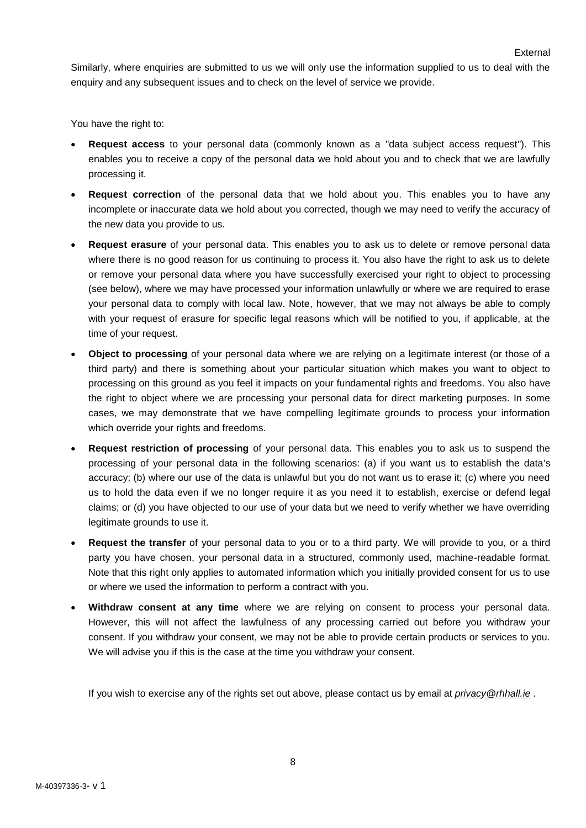Similarly, where enquiries are submitted to us we will only use the information supplied to us to deal with the enquiry and any subsequent issues and to check on the level of service we provide.

You have the right to:

- **Request access** to your personal data (commonly known as a "data subject access request"). This enables you to receive a copy of the personal data we hold about you and to check that we are lawfully processing it.
- **Request correction** of the personal data that we hold about you. This enables you to have any incomplete or inaccurate data we hold about you corrected, though we may need to verify the accuracy of the new data you provide to us.
- <span id="page-7-0"></span> **Request erasure** of your personal data. This enables you to ask us to delete or remove personal data where there is no good reason for us continuing to process it. You also have the right to ask us to delete or remove your personal data where you have successfully exercised your right to object to processing (see below), where we may have processed your information unlawfully or where we are required to erase your personal data to comply with local law. Note, however, that we may not always be able to comply with your request of erasure for specific legal reasons which will be notified to you, if applicable, at the time of your request.
- **Object to processing** of your personal data where we are relying on a legitimate interest (or those of a third party) and there is something about your particular situation which makes you want to object to processing on this ground as you feel it impacts on your fundamental rights and freedoms. You also have the right to object where we are processing your personal data for direct marketing purposes. In some cases, we may demonstrate that we have compelling legitimate grounds to process your information which override your rights and freedoms.
- **Request restriction of processing** of your personal data. This enables you to ask us to suspend the processing of your personal data in the following scenarios: (a) if you want us to establish the data's accuracy; (b) where our use of the data is unlawful but you do not want us to erase it; (c) where you need us to hold the data even if we no longer require it as you need it to establish, exercise or defend legal claims; or (d) you have objected to our use of your data but we need to verify whether we have overriding legitimate grounds to use it.
- **Request the transfer** of your personal data to you or to a third party. We will provide to you, or a third party you have chosen, your personal data in a structured, commonly used, machine-readable format. Note that this right only applies to automated information which you initially provided consent for us to use or where we used the information to perform a contract with you.
- **Withdraw consent at any time** where we are relying on consent to process your personal data. However, this will not affect the lawfulness of any processing carried out before you withdraw your consent. If you withdraw your consent, we may not be able to provide certain products or services to you. We will advise you if this is the case at the time you withdraw your consent.

If you wish to exercise any of the rights set out above, please contact us by email at *[privacy@rhhall.ie](mailto:privacy@rhhall.ie)* .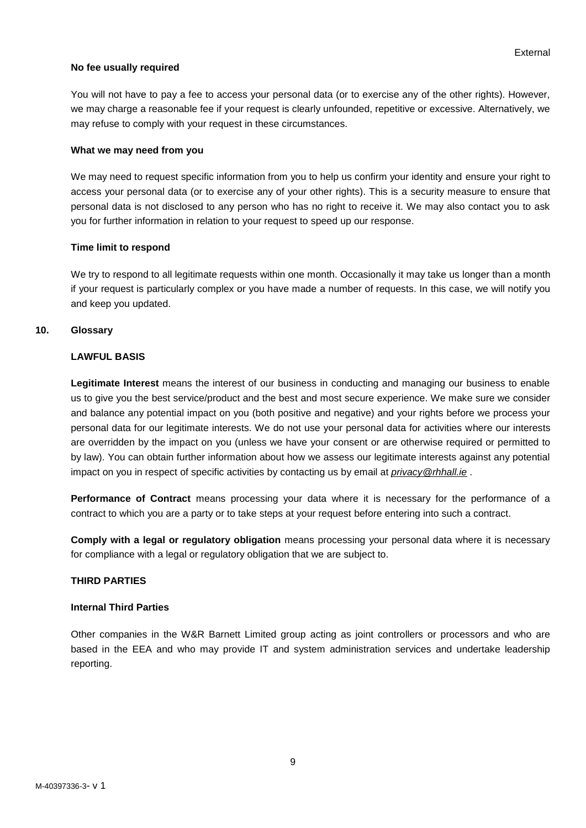# **No fee usually required**

You will not have to pay a fee to access your personal data (or to exercise any of the other rights). However, we may charge a reasonable fee if your request is clearly unfounded, repetitive or excessive. Alternatively, we may refuse to comply with your request in these circumstances.

## **What we may need from you**

We may need to request specific information from you to help us confirm your identity and ensure your right to access your personal data (or to exercise any of your other rights). This is a security measure to ensure that personal data is not disclosed to any person who has no right to receive it. We may also contact you to ask you for further information in relation to your request to speed up our response.

# **Time limit to respond**

We try to respond to all legitimate requests within one month. Occasionally it may take us longer than a month if your request is particularly complex or you have made a number of requests. In this case, we will notify you and keep you updated.

# <span id="page-8-0"></span>**10. Glossary**

# **LAWFUL BASIS**

**Legitimate Interest** means the interest of our business in conducting and managing our business to enable us to give you the best service/product and the best and most secure experience. We make sure we consider and balance any potential impact on you (both positive and negative) and your rights before we process your personal data for our legitimate interests. We do not use your personal data for activities where our interests are overridden by the impact on you (unless we have your consent or are otherwise required or permitted to by law). You can obtain further information about how we assess our legitimate interests against any potential impact on you in respect of specific activities by contacting us by email at *[privacy@rhhall.ie](mailto:privacy@rhhall.ie)* .

**Performance of Contract** means processing your data where it is necessary for the performance of a contract to which you are a party or to take steps at your request before entering into such a contract.

**Comply with a legal or regulatory obligation** means processing your personal data where it is necessary for compliance with a legal or regulatory obligation that we are subject to.

## **THIRD PARTIES**

# **Internal Third Parties**

Other companies in the W&R Barnett Limited group acting as joint controllers or processors and who are based in the EEA and who may provide IT and system administration services and undertake leadership reporting.